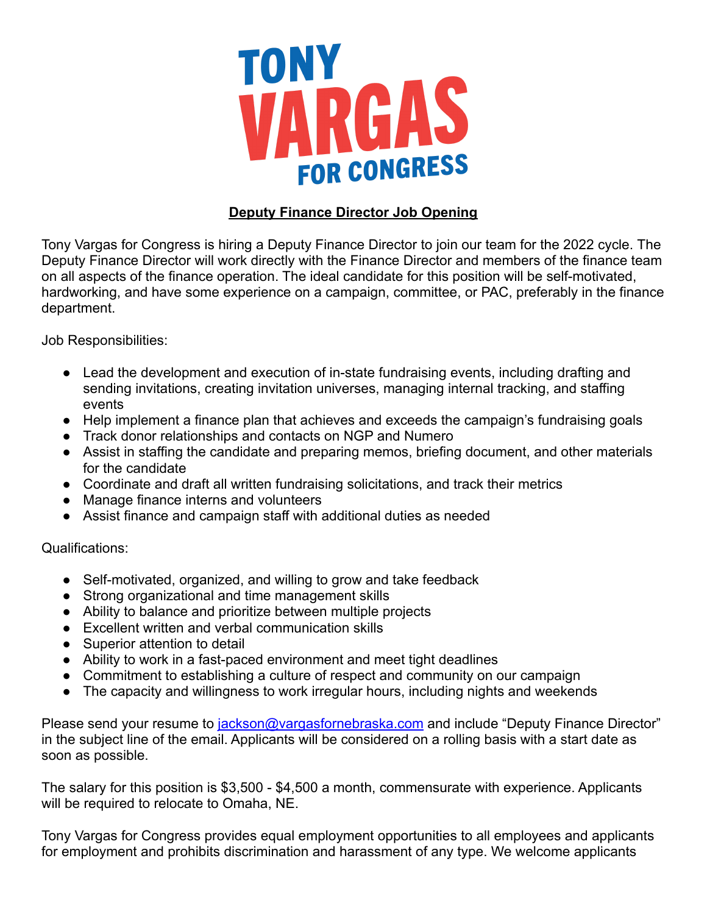

## **Deputy Finance Director Job Opening**

Tony Vargas for Congress is hiring a Deputy Finance Director to join our team for the 2022 cycle. The Deputy Finance Director will work directly with the Finance Director and members of the finance team on all aspects of the finance operation. The ideal candidate for this position will be self-motivated, hardworking, and have some experience on a campaign, committee, or PAC, preferably in the finance department.

Job Responsibilities:

- Lead the development and execution of in-state fundraising events, including drafting and sending invitations, creating invitation universes, managing internal tracking, and staffing events
- Help implement a finance plan that achieves and exceeds the campaign's fundraising goals
- Track donor relationships and contacts on NGP and Numero
- Assist in staffing the candidate and preparing memos, briefing document, and other materials for the candidate
- Coordinate and draft all written fundraising solicitations, and track their metrics
- Manage finance interns and volunteers
- Assist finance and campaign staff with additional duties as needed

Qualifications:

- Self-motivated, organized, and willing to grow and take feedback
- Strong organizational and time management skills
- Ability to balance and prioritize between multiple projects
- Excellent written and verbal communication skills
- Superior attention to detail
- Ability to work in a fast-paced environment and meet tight deadlines
- Commitment to establishing a culture of respect and community on our campaign
- The capacity and willingness to work irregular hours, including nights and weekends

Please send your resume to [jackson@vargasfornebraska.com](mailto:jackson@vargasfornebraska.com) and include "Deputy Finance Director" in the subject line of the email. Applicants will be considered on a rolling basis with a start date as soon as possible.

The salary for this position is \$3,500 - \$4,500 a month, commensurate with experience. Applicants will be required to relocate to Omaha, NE.

Tony Vargas for Congress provides equal employment opportunities to all employees and applicants for employment and prohibits discrimination and harassment of any type. We welcome applicants